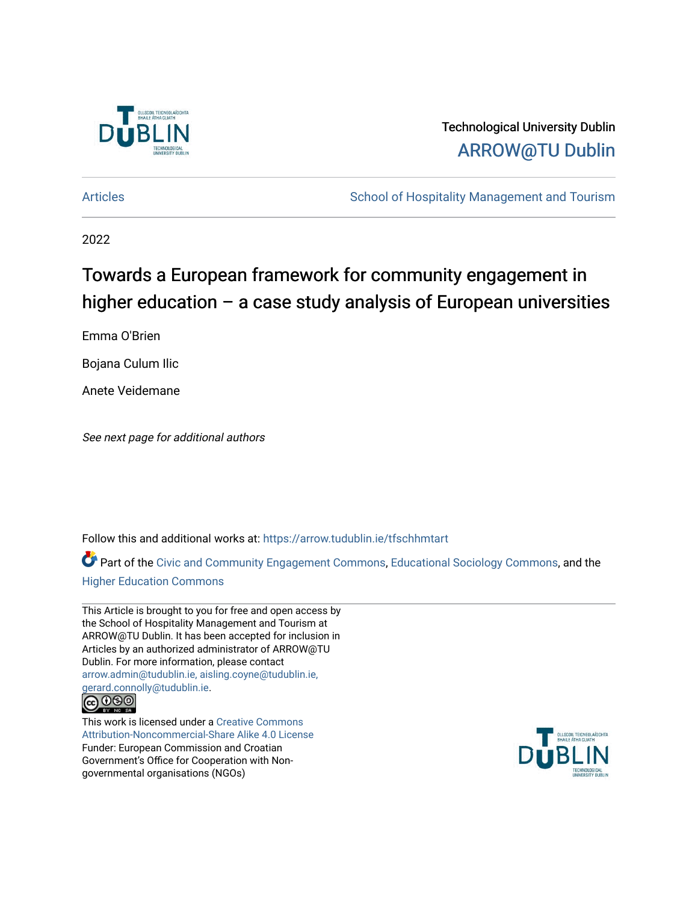

## Technological University Dublin [ARROW@TU Dublin](https://arrow.tudublin.ie/)

[Articles](https://arrow.tudublin.ie/tfschhmtart) **School of Hospitality Management and Tourism** School of Hospitality Management and Tourism

2022

# Towards a European framework for community engagement in higher education  $-$  a case study analysis of European universities

Emma O'Brien

Bojana Culum Ilic

Anete Veidemane

See next page for additional authors

Follow this and additional works at: [https://arrow.tudublin.ie/tfschhmtart](https://arrow.tudublin.ie/tfschhmtart?utm_source=arrow.tudublin.ie%2Ftfschhmtart%2F100&utm_medium=PDF&utm_campaign=PDFCoverPages) 

Part of the [Civic and Community Engagement Commons](https://network.bepress.com/hgg/discipline/1028?utm_source=arrow.tudublin.ie%2Ftfschhmtart%2F100&utm_medium=PDF&utm_campaign=PDFCoverPages), [Educational Sociology Commons,](https://network.bepress.com/hgg/discipline/1071?utm_source=arrow.tudublin.ie%2Ftfschhmtart%2F100&utm_medium=PDF&utm_campaign=PDFCoverPages) and the [Higher Education Commons](https://network.bepress.com/hgg/discipline/1245?utm_source=arrow.tudublin.ie%2Ftfschhmtart%2F100&utm_medium=PDF&utm_campaign=PDFCoverPages) 

This Article is brought to you for free and open access by the School of Hospitality Management and Tourism at ARROW@TU Dublin. It has been accepted for inclusion in Articles by an authorized administrator of ARROW@TU Dublin. For more information, please contact [arrow.admin@tudublin.ie, aisling.coyne@tudublin.ie,](mailto:arrow.admin@tudublin.ie,%20aisling.coyne@tudublin.ie,%20gerard.connolly@tudublin.ie)  [gerard.connolly@tudublin.ie](mailto:arrow.admin@tudublin.ie,%20aisling.coyne@tudublin.ie,%20gerard.connolly@tudublin.ie).



This work is licensed under a [Creative Commons](http://creativecommons.org/licenses/by-nc-sa/4.0/) [Attribution-Noncommercial-Share Alike 4.0 License](http://creativecommons.org/licenses/by-nc-sa/4.0/) Funder: European Commission and Croatian Government's Office for Cooperation with Nongovernmental organisations (NGOs)

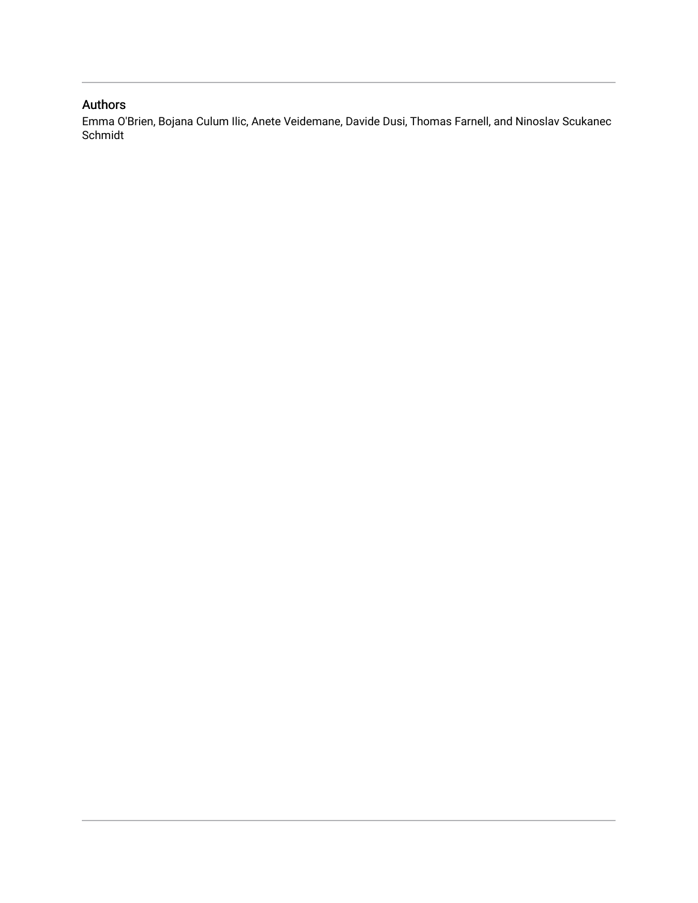### Authors

Emma O'Brien, Bojana Culum Ilic, Anete Veidemane, Davide Dusi, Thomas Farnell, and Ninoslav Scukanec Schmidt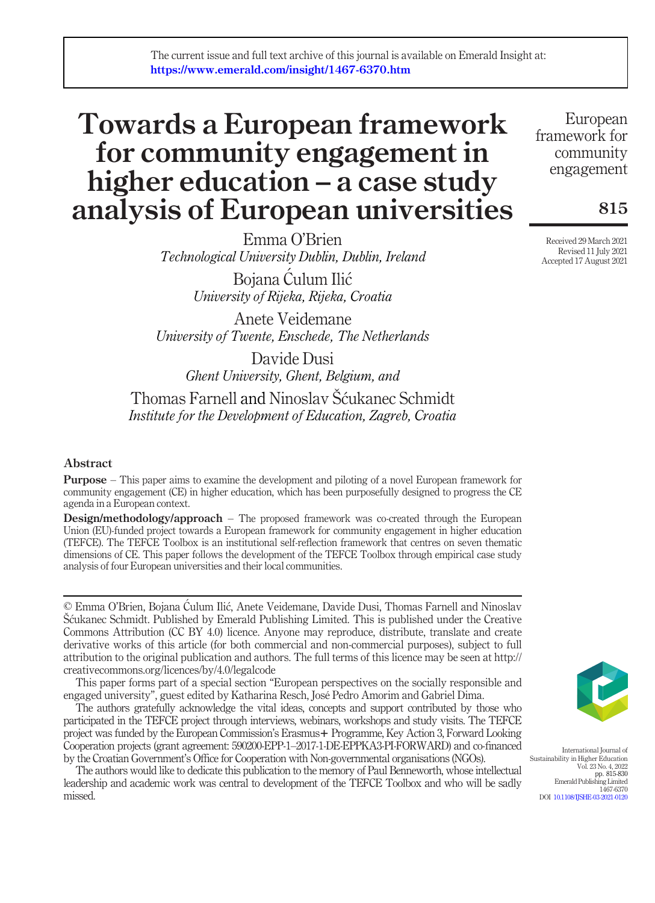## Towards a European framework for community engagement in higher education – a case study analysis of European universities

Emma O'Brien Technological University Dublin, Dublin, Ireland

> Bojana Culum Ilic University of Rijeka, Rijeka, Croatia

Anete Veidemane University of Twente, Enschede, The Netherlands

Davide Dusi Ghent University, Ghent, Belgium, and

Thomas Farnell and Ninoslav Šcukanec Schmidt Institute for the Development of Education, Zagreb, Croatia

### Abstract

Purpose – This paper aims to examine the development and piloting of a novel European framework for community engagement (CE) in higher education, which has been purposefully designed to progress the CE agenda in a European context.

Design/methodology/approach – The proposed framework was co-created through the European Union (EU)-funded project towards a European framework for community engagement in higher education (TEFCE). The TEFCE Toolbox is an institutional self-reflection framework that centres on seven thematic dimensions of CE. This paper follows the development of the TEFCE Toolbox through empirical case study analysis of four European universities and their local communities.

© Emma O'Brien, Bojana Ćulum Ilić, Anete Veidemane, Davide Dusi, Thomas Farnell and Ninoslav Šcukanec Schmidt. Published by Emerald Publishing Limited. This is published under the Creative Commons Attribution (CC BY 4.0) licence. Anyone may reproduce, distribute, translate and create derivative works of this article (for both commercial and non-commercial purposes), subject to full attribution to the original publication and authors. The full terms of this licence may be seen at http:// creativecommons.org/licences/by/4.0/legalcode

This paper forms part of a special section "European perspectives on the socially responsible and engaged university", guest edited by Katharina Resch, José Pedro Amorim and Gabriel Dima.

The authors gratefully acknowledge the vital ideas, concepts and support contributed by those who participated in the TEFCE project through interviews, webinars, workshops and study visits. The TEFCE project was funded by the European Commission's Erasmus+ Programme, Key Action 3, Forward Looking Cooperation projects (grant agreement: 590200-EPP-1–2017-1-DE-EPPKA3-PI-FORWARD) and co-financed by the Croatian Government's Office for Cooperation with Non-governmental organisations (NGOs).

The authors would like to dedicate this publication to the memory of Paul Benneworth, whose intellectual leadership and academic work was central to development of the TEFCE Toolbox and who will be sadly missed.

European framework for community engagement

815

Received 29 March 2021 Revised 11 July 2021 Accepted 17 August 2021



International Journal of stainability in Higher Education Vol. 23 No. 4, 2022 pp. 815-830 Emerald Publishing Limited 1467-6370 DOI [10.1108/IJSHE-03-2021-0120](http://dx.doi.org/10.1108/IJSHE-03-2021-0120)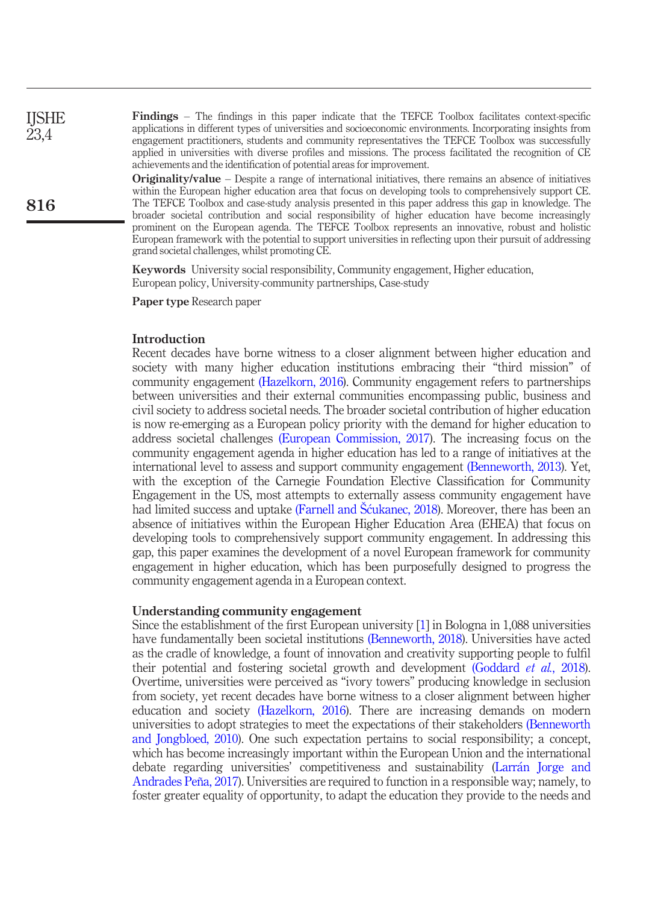Findings – The findings in this paper indicate that the TEFCE Toolbox facilitates context-specific applications in different types of universities and socioeconomic environments. Incorporating insights from engagement practitioners, students and community representatives the TEFCE Toolbox was successfully applied in universities with diverse profiles and missions. The process facilitated the recognition of CE achievements and the identification of potential areas for improvement.

**Originality/value** – Despite a range of international initiatives, there remains an absence of initiatives within the European higher education area that focus on developing tools to comprehensively support CE. The TEFCE Toolbox and case-study analysis presented in this paper address this gap in knowledge. The broader societal contribution and social responsibility of higher education have become increasingly prominent on the European agenda. The TEFCE Toolbox represents an innovative, robust and holistic European framework with the potential to support universities in reflecting upon their pursuit of addressing grand societal challenges, whilst promoting CE.

Keywords University social responsibility, Community engagement, Higher education, European policy, University-community partnerships, Case-study

Paper type Research paper

#### Introduction

Recent decades have borne witness to a closer alignment between higher education and society with many higher education institutions embracing their "third mission" of community engagement [\(Hazelkorn, 2016](#page-16-0)). Community engagement refers to partnerships between universities and their external communities encompassing public, business and civil society to address societal needs. The broader societal contribution of higher education is now re-emerging as a European policy priority with the demand for higher education to address societal challenges [\(European Commission, 2017\)](#page-15-0). The increasing focus on the community engagement agenda in higher education has led to a range of initiatives at the international level to assess and support community engagement [\(Benneworth, 2013\)](#page-15-1). Yet, with the exception of the Carnegie Foundation Elective Classification for Community Engagement in the US, most attempts to externally assess community engagement have had limited success and uptake (Farnell and Šćukanec, 2018). Moreover, there has been an absence of initiatives within the European Higher Education Area (EHEA) that focus on developing tools to comprehensively support community engagement. In addressing this gap, this paper examines the development of a novel European framework for community engagement in higher education, which has been purposefully designed to progress the community engagement agenda in a European context.

#### Understanding community engagement

Since the establishment of the first European university [\[1\]](#page-14-0) in Bologna in 1,088 universities have fundamentally been societal institutions [\(Benneworth, 2018](#page-15-3)). Universities have acted as the cradle of knowledge, a fount of innovation and creativity supporting people to fulfil their potential and fostering societal growth and development [\(Goddard](#page-16-1) et al., 2018). Overtime, universities were perceived as "ivory towers" producing knowledge in seclusion from society, yet recent decades have borne witness to a closer alignment between higher education and society [\(Hazelkorn, 2016\)](#page-16-0). There are increasing demands on modern universities to adopt strategies to meet the expectations of their stakeholders [\(Benneworth](#page-15-4) [and Jongbloed, 2010](#page-15-4)). One such expectation pertains to social responsibility; a concept, which has become increasingly important within the European Union and the international debate regarding universities' competitiveness and sustainability (Larr[an Jorge and](#page-16-2) [Andrades Peña, 2017](#page-16-2)). Universities are required to function in a responsible way; namely, to foster greater equality of opportunity, to adapt the education they provide to the needs and

**IISHE** 23,4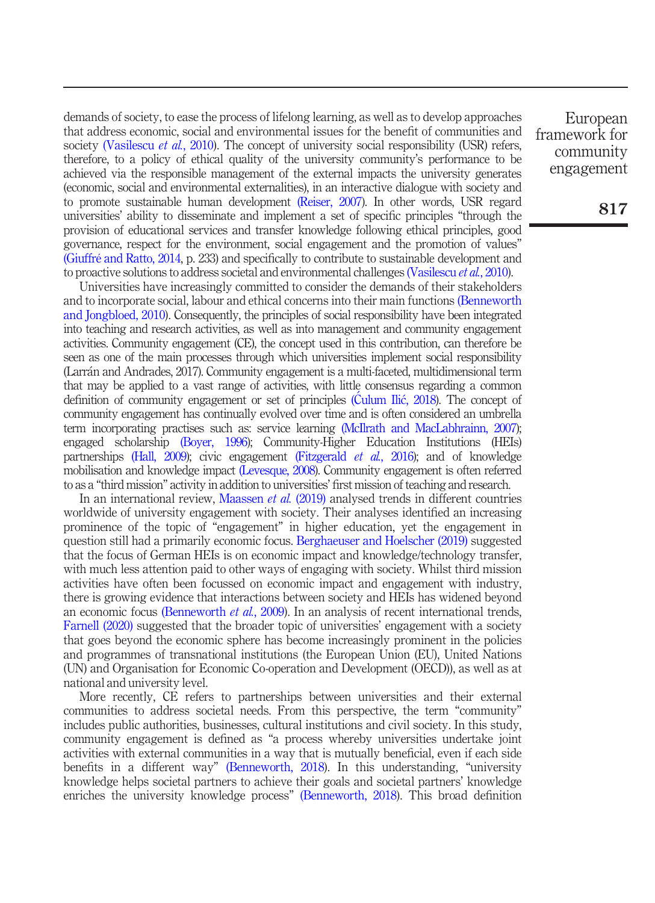demands of society, to ease the process of lifelong learning, as well as to develop approaches that address economic, social and environmental issues for the benefit of communities and society [\(Vasilescu](#page-17-0) et al., 2010). The concept of university social responsibility (USR) refers, therefore, to a policy of ethical quality of the university community's performance to be achieved via the responsible management of the external impacts the university generates (economic, social and environmental externalities), in an interactive dialogue with society and to promote sustainable human development [\(Reiser, 2007\)](#page-17-1). In other words, USR regard universities' ability to disseminate and implement a set of specific principles "through the provision of educational services and transfer knowledge following ethical principles, good governance, respect for the environment, social engagement and the promotion of values" [\(Giuffré and Ratto, 2014](#page-16-3), p. 233) and specifically to contribute to sustainable development and to proactive solutions to address societal and environmental challenges [\(Vasilescu](#page-17-0) et al., 2010).

Universities have increasingly committed to consider the demands of their stakeholders and to incorporate social, labour and ethical concerns into their main functions [\(Benneworth](#page-15-4) [and Jongbloed, 2010](#page-15-4)). Consequently, the principles of social responsibility have been integrated into teaching and research activities, as well as into management and community engagement activities. Community engagement (CE), the concept used in this contribution, can therefore be seen as one of the main processes through which universities implement social responsibility (Larran and Andrades, 2017). Community engagement is a multi-faceted, multidimensional term that may be applied to a vast range of activities, with little consensus regarding a common definition of community engagement or set of principles ([Culum Ili](#page-15-5)ć, 2018). The concept of community engagement has continually evolved over time and is often considered an umbrella term incorporating practises such as: service learning [\(McIlrath and MacLabhrainn, 2007\)](#page-16-4); engaged scholarship [\(Boyer, 1996](#page-15-6)); Community-Higher Education Institutions (HEIs) partnerships [\(Hall, 2009](#page-16-5)); civic engagement [\(Fitzgerald](#page-16-6) et al., 2016); and of knowledge mobilisation and knowledge impact [\(Levesque, 2008](#page-16-7)). Community engagement is often referred to as a "third mission" activity in addition to universities' first mission of teaching and research.

In an international review, [Maassen](#page-16-8) *et al.* (2019) analysed trends in different countries worldwide of university engagement with society. Their analyses identified an increasing prominence of the topic of "engagement" in higher education, yet the engagement in question still had a primarily economic focus. [Berghaeuser and Hoelscher \(2019\)](#page-15-7) suggested that the focus of German HEIs is on economic impact and knowledge/technology transfer, with much less attention paid to other ways of engaging with society. Whilst third mission activities have often been focussed on economic impact and engagement with industry, there is growing evidence that interactions between society and HEIs has widened beyond an economic focus [\(Benneworth](#page-15-8) et al., 2009). In an analysis of recent international trends, [Farnell \(2020\)](#page-15-9) suggested that the broader topic of universities' engagement with a society that goes beyond the economic sphere has become increasingly prominent in the policies and programmes of transnational institutions (the European Union (EU), United Nations (UN) and Organisation for Economic Co-operation and Development (OECD)), as well as at national and university level.

More recently, CE refers to partnerships between universities and their external communities to address societal needs. From this perspective, the term "community" includes public authorities, businesses, cultural institutions and civil society. In this study, community engagement is defined as "a process whereby universities undertake joint activities with external communities in a way that is mutually beneficial, even if each side benefits in a different way" [\(Benneworth, 2018](#page-15-3)). In this understanding, "university knowledge helps societal partners to achieve their goals and societal partners' knowledge enriches the university knowledge process" [\(Benneworth, 2018\)](#page-15-3). This broad definition

European framework for community engagement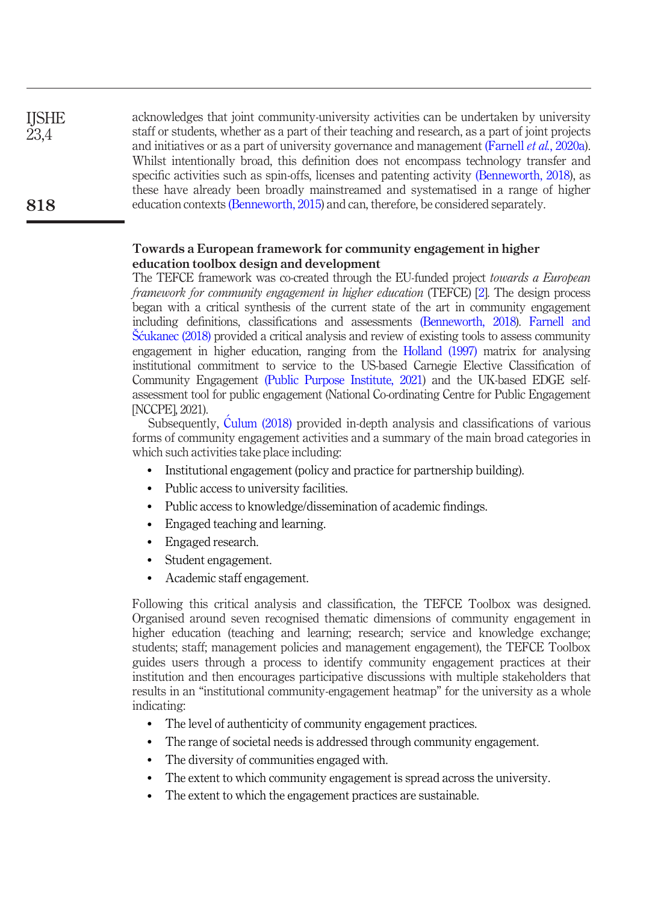| <b>IJSHE</b> | acknowledges that joint community-university activities can be undertaken by university               |
|--------------|-------------------------------------------------------------------------------------------------------|
| 23,4         | staff or students, whether as a part of their teaching and research, as a part of joint projects      |
|              | and initiatives or as a part of university governance and management (Farnell <i>et al.</i> , 2020a). |
|              | Whilst intentionally broad, this definition does not encompass technology transfer and                |
|              | specific activities such as spin-offs, licenses and patenting activity (Benneworth, 2018), as         |
|              | these have already been broadly mainstreamed and systematised in a range of higher                    |
| 818          | education contexts (Benneworth, 2015) and can, therefore, be considered separately.                   |
|              |                                                                                                       |

### Towards a European framework for community engagement in higher education toolbox design and development

The TEFCE framework was co-created through the EU-funded project towards a European framework for community engagement in higher education (TEFCE) [[2\]](#page-14-1). The design process began with a critical synthesis of the current state of the art in community engagement including definitions, classifications and assessments [\(Benneworth, 2018\)](#page-15-3). [Farnell and](#page-15-2) Š[cukanec \(2018\)](#page-15-2) provided a critical analysis and review of existing tools to assess community engagement in higher education, ranging from the [Holland \(1997\)](#page-16-10) matrix for analysing institutional commitment to service to the US-based Carnegie Elective Classification of Community Engagement [\(Public Purpose Institute, 2021](#page-17-2)) and the UK-based EDGE selfassessment tool for public engagement (National Co-ordinating Centre for Public Engagement [NCCPE], 2021).

Subsequently, [Culum \(2018\)](#page-15-11) provided in-depth analysis and classifications of various forms of community engagement activities and a summary of the main broad categories in which such activities take place including:

- Institutional engagement (policy and practice for partnership building).
- Public access to university facilities.
- Public access to knowledge/dissemination of academic findings.
- Engaged teaching and learning.
- Engaged research.
- Student engagement.
- Academic staff engagement.

Following this critical analysis and classification, the TEFCE Toolbox was designed. Organised around seven recognised thematic dimensions of community engagement in higher education (teaching and learning; research; service and knowledge exchange; students; staff; management policies and management engagement), the TEFCE Toolbox guides users through a process to identify community engagement practices at their institution and then encourages participative discussions with multiple stakeholders that results in an "institutional community-engagement heatmap" for the university as a whole indicating:

- The level of authenticity of community engagement practices.
- The range of societal needs is addressed through community engagement.
- The diversity of communities engaged with.
- The extent to which community engagement is spread across the university.
- The extent to which the engagement practices are sustainable.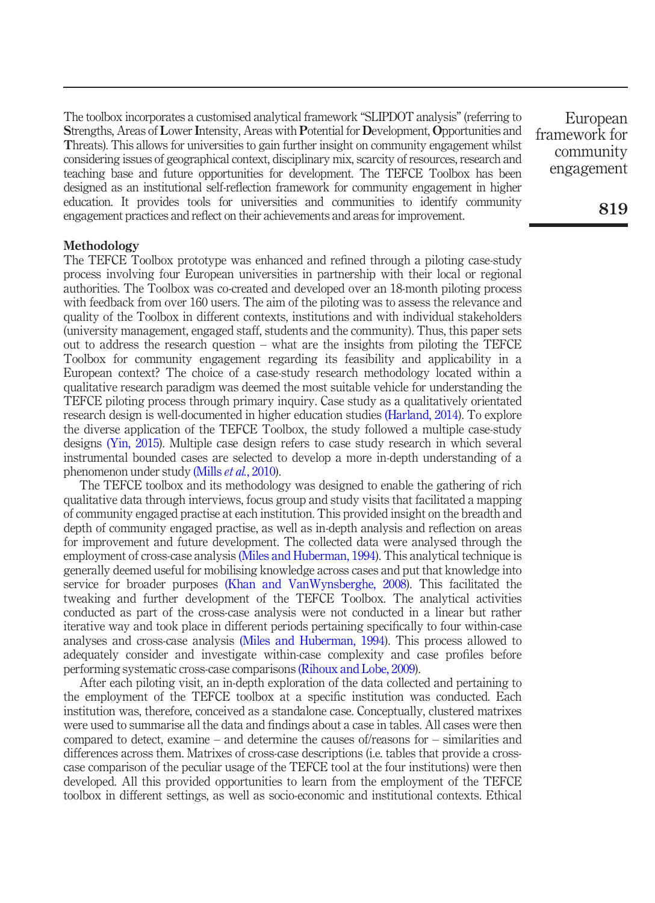The toolbox incorporates a customised analytical framework "SLIPDOT analysis" (referring to Strengths, Areas of Lower Intensity, Areas with Potential for Development, Opportunities and Threats). This allows for universities to gain further insight on community engagement whilst considering issues of geographical context, disciplinary mix, scarcity of resources, research and teaching base and future opportunities for development. The TEFCE Toolbox has been designed as an institutional self-reflection framework for community engagement in higher education. It provides tools for universities and communities to identify community engagement practices and reflect on their achievements and areas for improvement.

#### Methodology

The TEFCE Toolbox prototype was enhanced and refined through a piloting case-study process involving four European universities in partnership with their local or regional authorities. The Toolbox was co-created and developed over an 18-month piloting process with feedback from over 160 users. The aim of the piloting was to assess the relevance and quality of the Toolbox in different contexts, institutions and with individual stakeholders (university management, engaged staff, students and the community). Thus, this paper sets out to address the research question – what are the insights from piloting the TEFCE Toolbox for community engagement regarding its feasibility and applicability in a European context? The choice of a case-study research methodology located within a qualitative research paradigm was deemed the most suitable vehicle for understanding the TEFCE piloting process through primary inquiry. Case study as a qualitatively orientated research design is well-documented in higher education studies [\(Harland, 2014](#page-16-11)). To explore the diverse application of the TEFCE Toolbox, the study followed a multiple case-study designs [\(Yin, 2015\)](#page-17-3). Multiple case design refers to case study research in which several instrumental bounded cases are selected to develop a more in-depth understanding of a phenomenon under study [\(Mills](#page-16-12) *et al.*, 2010).

The TEFCE toolbox and its methodology was designed to enable the gathering of rich qualitative data through interviews, focus group and study visits that facilitated a mapping of community engaged practise at each institution. This provided insight on the breadth and depth of community engaged practise, as well as in-depth analysis and reflection on areas for improvement and future development. The collected data were analysed through the employment of cross-case analysis [\(Miles and Huberman, 1994\)](#page-16-13). This analytical technique is generally deemed useful for mobilising knowledge across cases and put that knowledge into service for broader purposes [\(Khan and VanWynsberghe, 2008](#page-16-14)). This facilitated the tweaking and further development of the TEFCE Toolbox. The analytical activities conducted as part of the cross-case analysis were not conducted in a linear but rather iterative way and took place in different periods pertaining specifically to four within-case analyses and cross-case analysis [\(Miles and Huberman, 1994\)](#page-16-13). This process allowed to adequately consider and investigate within-case complexity and case profiles before performing systematic cross-case comparisons [\(Rihoux and Lobe, 2009\)](#page-17-4).

After each piloting visit, an in-depth exploration of the data collected and pertaining to the employment of the TEFCE toolbox at a specific institution was conducted. Each institution was, therefore, conceived as a standalone case. Conceptually, clustered matrixes were used to summarise all the data and findings about a case in tables. All cases were then compared to detect, examine – and determine the causes of/reasons for – similarities and differences across them. Matrixes of cross-case descriptions (i.e. tables that provide a crosscase comparison of the peculiar usage of the TEFCE tool at the four institutions) were then developed. All this provided opportunities to learn from the employment of the TEFCE toolbox in different settings, as well as socio-economic and institutional contexts. Ethical

European framework for community engagement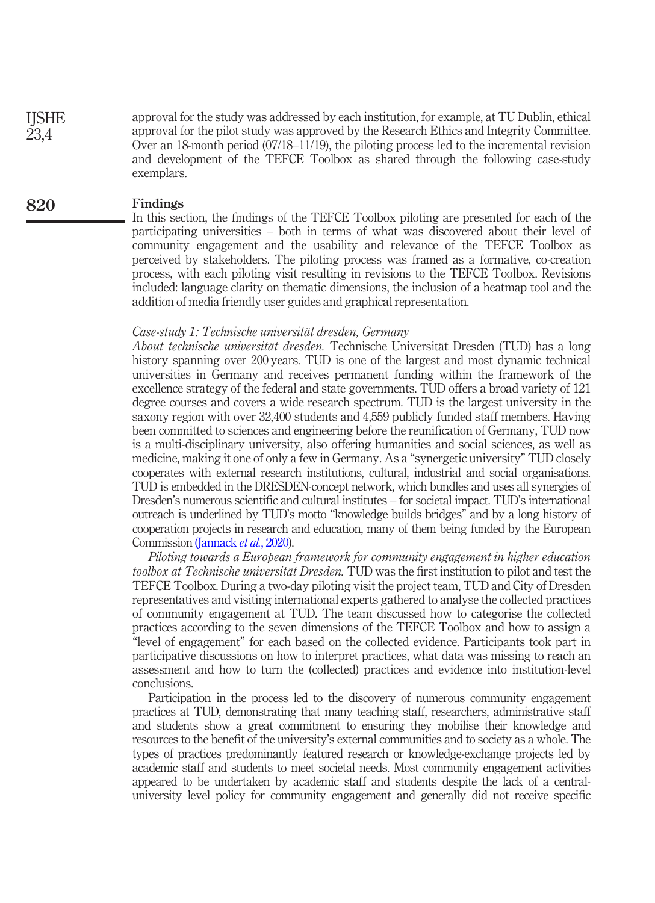approval for the study was addressed by each institution, for example, at TU Dublin, ethical approval for the pilot study was approved by the Research Ethics and Integrity Committee. Over an 18-month period (07/18–11/19), the piloting process led to the incremental revision and development of the TEFCE Toolbox as shared through the following case-study exemplars. IJSHE 23,4

#### Findings 820

In this section, the findings of the TEFCE Toolbox piloting are presented for each of the participating universities – both in terms of what was discovered about their level of community engagement and the usability and relevance of the TEFCE Toolbox as perceived by stakeholders. The piloting process was framed as a formative, co-creation process, with each piloting visit resulting in revisions to the TEFCE Toolbox. Revisions included: language clarity on thematic dimensions, the inclusion of a heatmap tool and the addition of media friendly user guides and graphical representation.

#### Case-study 1: Technische universität dresden, Germany

About technische universität dresden. Technische Universität Dresden (TUD) has a long history spanning over 200 years. TUD is one of the largest and most dynamic technical universities in Germany and receives permanent funding within the framework of the excellence strategy of the federal and state governments. TUD offers a broad variety of 121 degree courses and covers a wide research spectrum. TUD is the largest university in the saxony region with over 32,400 students and 4,559 publicly funded staff members. Having been committed to sciences and engineering before the reunification of Germany, TUD now is a multi-disciplinary university, also offering humanities and social sciences, as well as medicine, making it one of only a few in Germany. As a "synergetic university" TUD closely cooperates with external research institutions, cultural, industrial and social organisations. TUD is embedded in the DRESDEN-concept network, which bundles and uses all synergies of Dresden's numerous scientific and cultural institutes – for societal impact. TUD's international outreach is underlined by TUD's motto "knowledge builds bridges" and by a long history of cooperation projects in research and education, many of them being funded by the European Commission [\(Jannack](#page-16-15) *et al.*, 2020).

Piloting towards a European framework for community engagement in higher education toolbox at Technische universität Dresden. TUD was the first institution to pilot and test the TEFCE Toolbox. During a two-day piloting visit the project team, TUD and City of Dresden representatives and visiting international experts gathered to analyse the collected practices of community engagement at TUD. The team discussed how to categorise the collected practices according to the seven dimensions of the TEFCE Toolbox and how to assign a "level of engagement" for each based on the collected evidence. Participants took part in participative discussions on how to interpret practices, what data was missing to reach an assessment and how to turn the (collected) practices and evidence into institution-level conclusions.

Participation in the process led to the discovery of numerous community engagement practices at TUD, demonstrating that many teaching staff, researchers, administrative staff and students show a great commitment to ensuring they mobilise their knowledge and resources to the benefit of the university's external communities and to society as a whole. The types of practices predominantly featured research or knowledge-exchange projects led by academic staff and students to meet societal needs. Most community engagement activities appeared to be undertaken by academic staff and students despite the lack of a centraluniversity level policy for community engagement and generally did not receive specific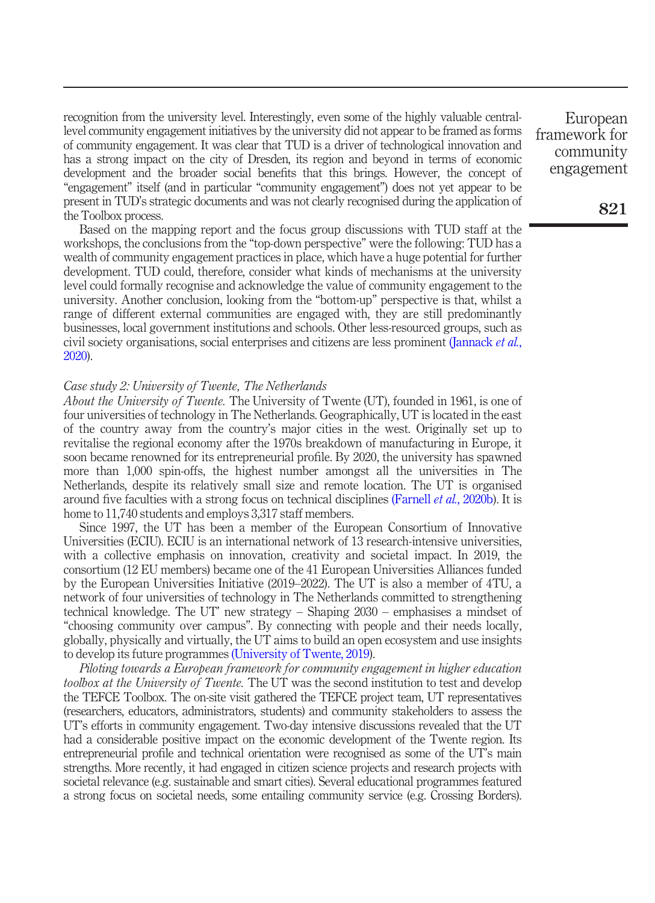recognition from the university level. Interestingly, even some of the highly valuable centrallevel community engagement initiatives by the university did not appear to be framed as forms of community engagement. It was clear that TUD is a driver of technological innovation and has a strong impact on the city of Dresden, its region and beyond in terms of economic development and the broader social benefits that this brings. However, the concept of "engagement" itself (and in particular "community engagement") does not yet appear to be present in TUD's strategic documents and was not clearly recognised during the application of the Toolbox process.

Based on the mapping report and the focus group discussions with TUD staff at the workshops, the conclusions from the "top-down perspective" were the following: TUD has a wealth of community engagement practices in place, which have a huge potential for further development. TUD could, therefore, consider what kinds of mechanisms at the university level could formally recognise and acknowledge the value of community engagement to the university. Another conclusion, looking from the "bottom-up" perspective is that, whilst a range of different external communities are engaged with, they are still predominantly businesses, local government institutions and schools. Other less-resourced groups, such as civil society organisations, social enterprises and citizens are less prominent [\(Jannack](#page-16-15) et al., [2020\)](#page-16-15).

#### Case study 2: University of Twente, The Netherlands

About the University of Twente. The University of Twente (UT), founded in 1961, is one of four universities of technology in The Netherlands. Geographically, UT is located in the east of the country away from the country's major cities in the west. Originally set up to revitalise the regional economy after the 1970s breakdown of manufacturing in Europe, it soon became renowned for its entrepreneurial profile. By 2020, the university has spawned more than 1,000 spin-offs, the highest number amongst all the universities in The Netherlands, despite its relatively small size and remote location. The UT is organised around five faculties with a strong focus on technical disciplines [\(Farnell](#page-16-16) *et al.*, 2020b). It is home to 11,740 students and employs 3,317 staff members.

Since 1997, the UT has been a member of the European Consortium of Innovative Universities (ECIU). ECIU is an international network of 13 research-intensive universities, with a collective emphasis on innovation, creativity and societal impact. In 2019, the consortium (12 EU members) became one of the 41 European Universities Alliances funded by the European Universities Initiative (2019–2022). The UT is also a member of 4TU, a network of four universities of technology in The Netherlands committed to strengthening technical knowledge. The UT' new strategy – Shaping 2030 – emphasises a mindset of "choosing community over campus". By connecting with people and their needs locally, globally, physically and virtually, the UT aims to build an open ecosystem and use insights to develop its future programmes [\(University of Twente, 2019](#page-17-5)).

Piloting towards a European framework for community engagement in higher education toolbox at the University of Twente. The UT was the second institution to test and develop the TEFCE Toolbox. The on-site visit gathered the TEFCE project team, UT representatives (researchers, educators, administrators, students) and community stakeholders to assess the UT's efforts in community engagement. Two-day intensive discussions revealed that the UT had a considerable positive impact on the economic development of the Twente region. Its entrepreneurial profile and technical orientation were recognised as some of the UT's main strengths. More recently, it had engaged in citizen science projects and research projects with societal relevance (e.g. sustainable and smart cities). Several educational programmes featured a strong focus on societal needs, some entailing community service (e.g. Crossing Borders).

European framework for community engagement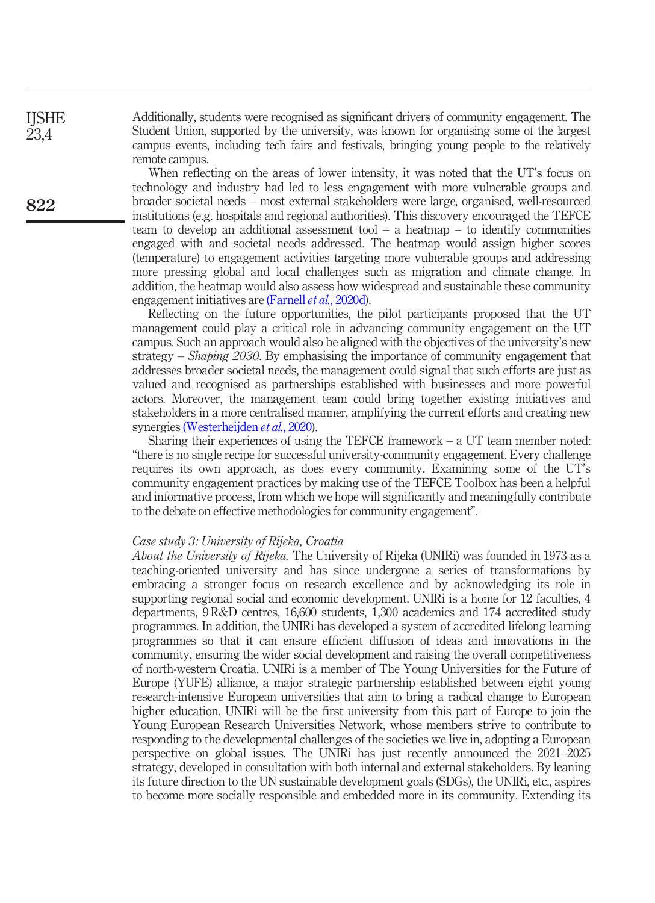Additionally, students were recognised as significant drivers of community engagement. The Student Union, supported by the university, was known for organising some of the largest campus events, including tech fairs and festivals, bringing young people to the relatively remote campus.

When reflecting on the areas of lower intensity, it was noted that the UT's focus on technology and industry had led to less engagement with more vulnerable groups and broader societal needs – most external stakeholders were large, organised, well-resourced institutions (e.g. hospitals and regional authorities). This discovery encouraged the TEFCE team to develop an additional assessment tool  $-$  a heatmap  $-$  to identify communities engaged with and societal needs addressed. The heatmap would assign higher scores (temperature) to engagement activities targeting more vulnerable groups and addressing more pressing global and local challenges such as migration and climate change. In addition, the heatmap would also assess how widespread and sustainable these community engagement initiatives are [\(Farnell](#page-16-17) et al., 2020d).

Reflecting on the future opportunities, the pilot participants proposed that the UT management could play a critical role in advancing community engagement on the UT campus. Such an approach would also be aligned with the objectives of the university's new strategy – *Shaping 2030*. By emphasising the importance of community engagement that addresses broader societal needs, the management could signal that such efforts are just as valued and recognised as partnerships established with businesses and more powerful actors. Moreover, the management team could bring together existing initiatives and stakeholders in a more centralised manner, amplifying the current efforts and creating new synergies [\(Westerheijden](#page-17-6) et al., 2020).

Sharing their experiences of using the TEFCE framework  $- a$  UT team member noted: "there is no single recipe for successful university-community engagement. Every challenge requires its own approach, as does every community. Examining some of the UT's community engagement practices by making use of the TEFCE Toolbox has been a helpful and informative process, from which we hope will significantly and meaningfully contribute to the debate on effective methodologies for community engagement".

#### Case study 3: University of Rijeka, Croatia

About the University of Rijeka. The University of Rijeka (UNIRi) was founded in 1973 as a teaching-oriented university and has since undergone a series of transformations by embracing a stronger focus on research excellence and by acknowledging its role in supporting regional social and economic development. UNIRi is a home for 12 faculties, 4 departments, 9 R&D centres, 16,600 students, 1,300 academics and 174 accredited study programmes. In addition, the UNIRi has developed a system of accredited lifelong learning programmes so that it can ensure efficient diffusion of ideas and innovations in the community, ensuring the wider social development and raising the overall competitiveness of north-western Croatia. UNIRi is a member of The Young Universities for the Future of Europe (YUFE) alliance, a major strategic partnership established between eight young research-intensive European universities that aim to bring a radical change to European higher education. UNIRi will be the first university from this part of Europe to join the Young European Research Universities Network, whose members strive to contribute to responding to the developmental challenges of the societies we live in, adopting a European perspective on global issues. The UNIRi has just recently announced the 2021–2025 strategy, developed in consultation with both internal and external stakeholders. By leaning its future direction to the UN sustainable development goals (SDGs), the UNIRi, etc., aspires to become more socially responsible and embedded more in its community. Extending its

822

IJSHE 23,4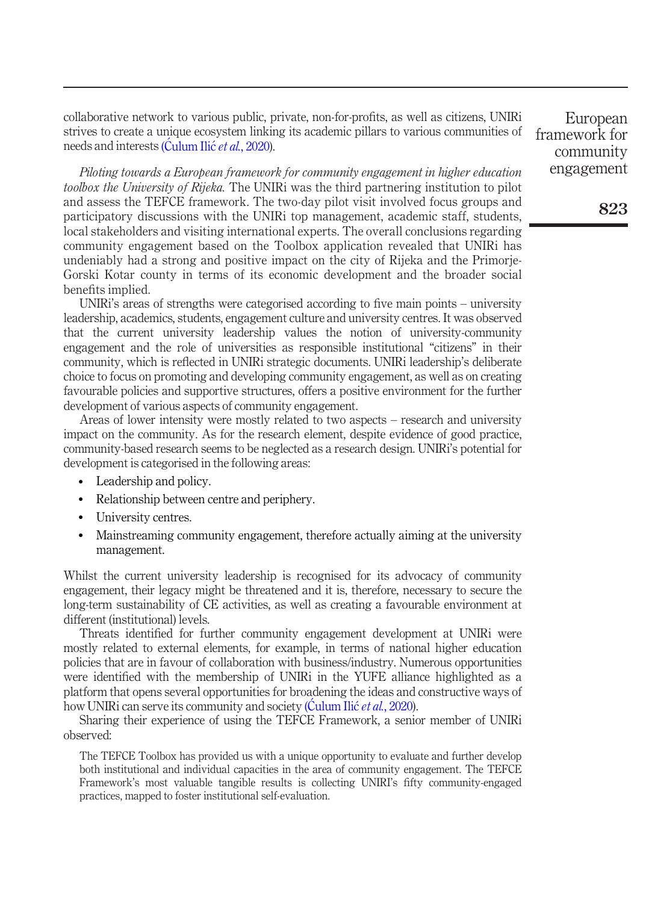collaborative network to various public, private, non-for-profits, as well as citizens, UNIRi strives to create a unique ecosystem linking its academic pillars to various communities of needs and interests ([Culum Ili](#page-15-12)c et al., 2020).

Piloting towards a European framework for community engagement in higher education toolbox the University of Rijeka. The UNIRi was the third partnering institution to pilot and assess the TEFCE framework. The two-day pilot visit involved focus groups and participatory discussions with the UNIRi top management, academic staff, students, local stakeholders and visiting international experts. The overall conclusions regarding community engagement based on the Toolbox application revealed that UNIRi has undeniably had a strong and positive impact on the city of Rijeka and the Primorje-Gorski Kotar county in terms of its economic development and the broader social benefits implied.

UNIRi's areas of strengths were categorised according to five main points – university leadership, academics, students, engagement culture and university centres. It was observed that the current university leadership values the notion of university-community engagement and the role of universities as responsible institutional "citizens" in their community, which is reflected in UNIRi strategic documents. UNIRi leadership's deliberate choice to focus on promoting and developing community engagement, as well as on creating favourable policies and supportive structures, offers a positive environment for the further development of various aspects of community engagement.

Areas of lower intensity were mostly related to two aspects – research and university impact on the community. As for the research element, despite evidence of good practice, community-based research seems to be neglected as a research design. UNIRi's potential for development is categorised in the following areas:

- Leadership and policy.
- Relationship between centre and periphery.
- University centres.
- Mainstreaming community engagement, therefore actually aiming at the university management.

Whilst the current university leadership is recognised for its advocacy of community engagement, their legacy might be threatened and it is, therefore, necessary to secure the long-term sustainability of CE activities, as well as creating a favourable environment at different (institutional) levels.

Threats identified for further community engagement development at UNIRi were mostly related to external elements, for example, in terms of national higher education policies that are in favour of collaboration with business/industry. Numerous opportunities were identified with the membership of UNIRi in the YUFE alliance highlighted as a platform that opens several opportunities for broadening the ideas and constructive ways of how UNIRi can serve its community and society ([Culum Ili](#page-15-12)c et al., 2020).

Sharing their experience of using the TEFCE Framework, a senior member of UNIRi observed:

The TEFCE Toolbox has provided us with a unique opportunity to evaluate and further develop both institutional and individual capacities in the area of community engagement. The TEFCE Framework's most valuable tangible results is collecting UNIRI's fifty community-engaged practices, mapped to foster institutional self-evaluation.

European framework for community engagement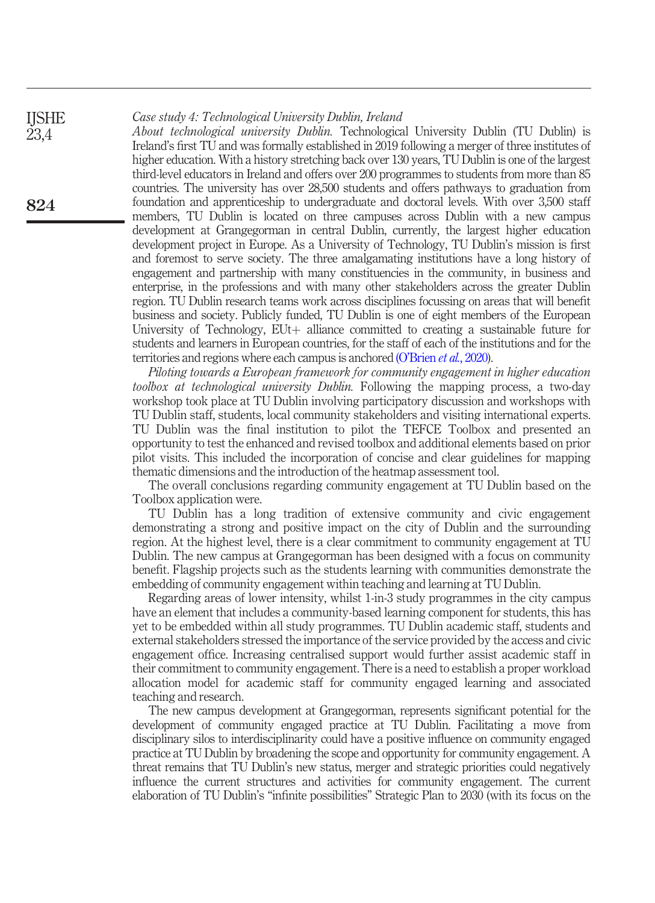#### Case study 4: Technological University Dublin, Ireland IJSHE

23,4

824

About technological university Dublin. Technological University Dublin (TU Dublin) is Ireland's first TU and was formally established in 2019 following a merger of three institutes of higher education. With a history stretching back over 130 years, TU Dublin is one of the largest third-level educators in Ireland and offers over 200 programmes to students from more than 85 countries. The university has over 28,500 students and offers pathways to graduation from foundation and apprenticeship to undergraduate and doctoral levels. With over 3,500 staff members, TU Dublin is located on three campuses across Dublin with a new campus development at Grangegorman in central Dublin, currently, the largest higher education development project in Europe. As a University of Technology, TU Dublin's mission is first and foremost to serve society. The three amalgamating institutions have a long history of engagement and partnership with many constituencies in the community, in business and enterprise, in the professions and with many other stakeholders across the greater Dublin region. TU Dublin research teams work across disciplines focussing on areas that will benefit business and society. Publicly funded, TU Dublin is one of eight members of the European University of Technology,  $E^{\text{U}t}$  alliance committed to creating a sustainable future for students and learners in European countries, for the staff of each of the institutions and for the territories and regions where each campus is anchored (O'Brien *et al.*[, 2020](#page-17-7)).

Piloting towards a European framework for community engagement in higher education toolbox at technological university Dublin. Following the mapping process, a two-day workshop took place at TU Dublin involving participatory discussion and workshops with TU Dublin staff, students, local community stakeholders and visiting international experts. TU Dublin was the final institution to pilot the TEFCE Toolbox and presented an opportunity to test the enhanced and revised toolbox and additional elements based on prior pilot visits. This included the incorporation of concise and clear guidelines for mapping thematic dimensions and the introduction of the heatmap assessment tool.

The overall conclusions regarding community engagement at TU Dublin based on the Toolbox application were.

TU Dublin has a long tradition of extensive community and civic engagement demonstrating a strong and positive impact on the city of Dublin and the surrounding region. At the highest level, there is a clear commitment to community engagement at TU Dublin. The new campus at Grangegorman has been designed with a focus on community benefit. Flagship projects such as the students learning with communities demonstrate the embedding of community engagement within teaching and learning at TU Dublin.

Regarding areas of lower intensity, whilst 1-in-3 study programmes in the city campus have an element that includes a community-based learning component for students, this has yet to be embedded within all study programmes. TU Dublin academic staff, students and external stakeholders stressed the importance of the service provided by the access and civic engagement office. Increasing centralised support would further assist academic staff in their commitment to community engagement. There is a need to establish a proper workload allocation model for academic staff for community engaged learning and associated teaching and research.

The new campus development at Grangegorman, represents significant potential for the development of community engaged practice at TU Dublin. Facilitating a move from disciplinary silos to interdisciplinarity could have a positive influence on community engaged practice at TU Dublin by broadening the scope and opportunity for community engagement. A threat remains that TU Dublin's new status, merger and strategic priorities could negatively influence the current structures and activities for community engagement. The current elaboration of TU Dublin's "infinite possibilities" Strategic Plan to 2030 (with its focus on the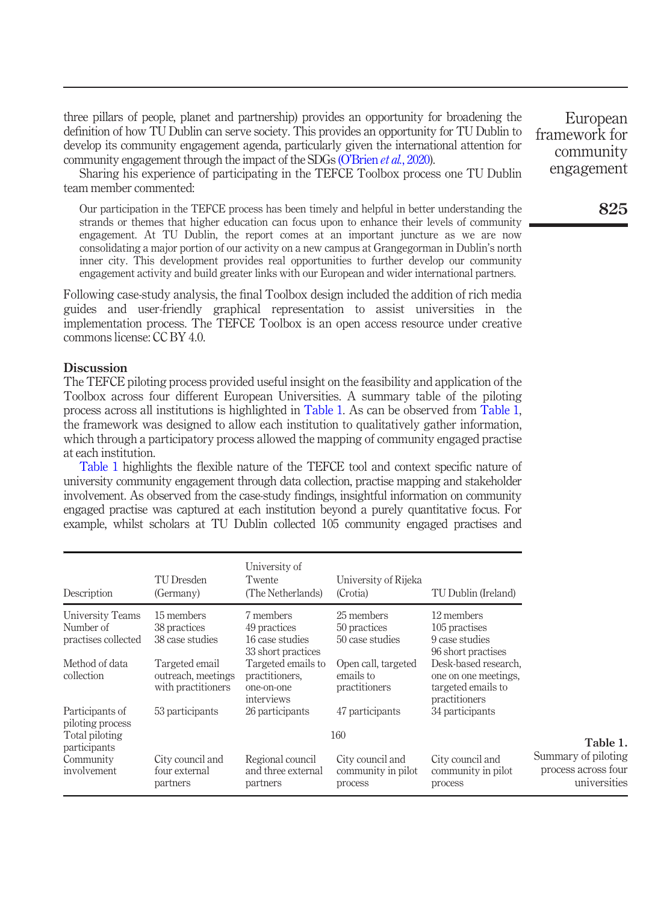three pillars of people, planet and partnership) provides an opportunity for broadening the definition of how TU Dublin can serve society. This provides an opportunity for TU Dublin to develop its community engagement agenda, particularly given the international attention for community engagement through the impact of the SDGs (O'Brien *et al.*[, 2020\)](#page-17-7).

Sharing his experience of participating in the TEFCE Toolbox process one TU Dublin team member commented:

Our participation in the TEFCE process has been timely and helpful in better understanding the strands or themes that higher education can focus upon to enhance their levels of community engagement. At TU Dublin, the report comes at an important juncture as we are now consolidating a major portion of our activity on a new campus at Grangegorman in Dublin's north inner city. This development provides real opportunities to further develop our community engagement activity and build greater links with our European and wider international partners.

Following case-study analysis, the final Toolbox design included the addition of rich media guides and user-friendly graphical representation to assist universities in the implementation process. The TEFCE Toolbox is an open access resource under creative commons license: CC BY 4.0.

#### **Discussion**

The TEFCE piloting process provided useful insight on the feasibility and application of the Toolbox across four different European Universities. A summary table of the piloting process across all institutions is highlighted in [Table 1](#page-12-0). As can be observed from [Table 1](#page-12-0), the framework was designed to allow each institution to qualitatively gather information, which through a participatory process allowed the mapping of community engaged practise at each institution.

[Table 1](#page-12-0) highlights the flexible nature of the TEFCE tool and context specific nature of university community engagement through data collection, practise mapping and stakeholder involvement. As observed from the case-study findings, insightful information on community engaged practise was captured at each institution beyond a purely quantitative focus. For example, whilst scholars at TU Dublin collected 105 community engaged practises and

<span id="page-12-0"></span>

| Description                                           | TU Dresden<br>(Germany)                                    | University of<br>Twente<br>(The Netherlands)                       | University of Rijeka<br>(Crotia)                  | TU Dublin (Ireland)                                                                 |                                                            |
|-------------------------------------------------------|------------------------------------------------------------|--------------------------------------------------------------------|---------------------------------------------------|-------------------------------------------------------------------------------------|------------------------------------------------------------|
| University Teams<br>Number of<br>practises collected  | 15 members<br>38 practices<br>38 case studies              | 7 members<br>49 practices<br>16 case studies<br>33 short practices | 25 members<br>50 practices<br>50 case studies     | 12 members<br>105 practises<br>9 case studies<br>96 short practises                 |                                                            |
| Method of data<br>collection                          | Targeted email<br>outreach, meetings<br>with practitioners | Targeted emails to<br>practitioners,<br>one-on-one<br>interviews   | Open call, targeted<br>emails to<br>practitioners | Desk-based research,<br>one on one meetings.<br>targeted emails to<br>practitioners |                                                            |
| Participants of<br>piloting process<br>Total piloting | 53 participants                                            | 26 participants                                                    | 47 participants<br>160                            | 34 participants                                                                     |                                                            |
| participants                                          |                                                            | Table 1.                                                           |                                                   |                                                                                     |                                                            |
| Community<br>involvement                              | City council and<br>four external<br>partners              | Regional council<br>and three external<br>partners                 | City council and<br>community in pilot<br>process | City council and<br>community in pilot<br>process                                   | Summary of piloting<br>process across four<br>universities |

European framework for community engagement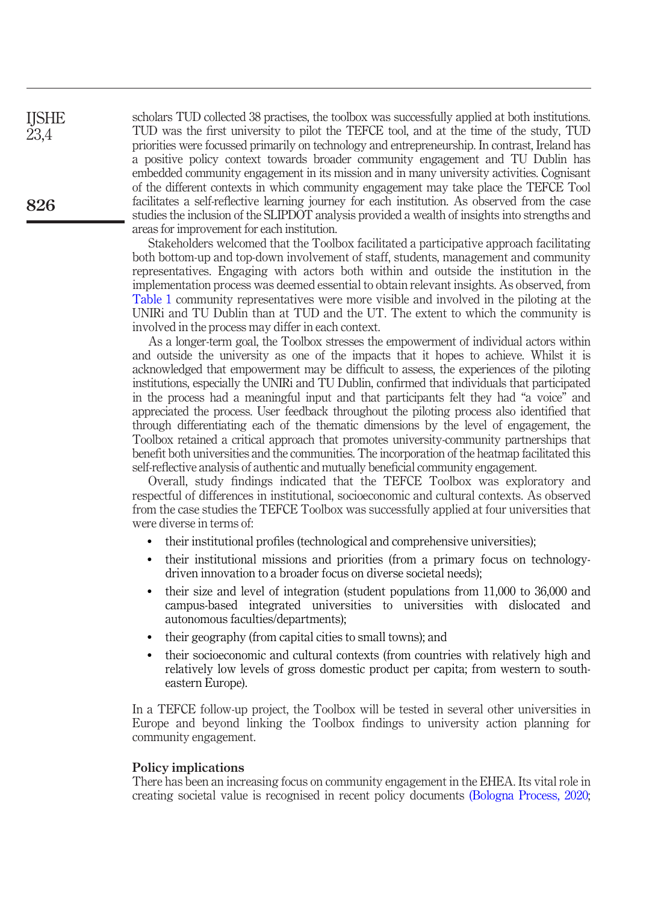scholars TUD collected 38 practises, the toolbox was successfully applied at both institutions. TUD was the first university to pilot the TEFCE tool, and at the time of the study, TUD priorities were focussed primarily on technology and entrepreneurship. In contrast, Ireland has a positive policy context towards broader community engagement and TU Dublin has embedded community engagement in its mission and in many university activities. Cognisant of the different contexts in which community engagement may take place the TEFCE Tool facilitates a self-reflective learning journey for each institution. As observed from the case studies the inclusion of the SLIPDOT analysis provided a wealth of insights into strengths and areas for improvement for each institution.

Stakeholders welcomed that the Toolbox facilitated a participative approach facilitating both bottom-up and top-down involvement of staff, students, management and community representatives. Engaging with actors both within and outside the institution in the implementation process was deemed essential to obtain relevant insights. As observed, from [Table 1](#page-12-0) community representatives were more visible and involved in the piloting at the UNIRi and TU Dublin than at TUD and the UT. The extent to which the community is involved in the process may differ in each context.

As a longer-term goal, the Toolbox stresses the empowerment of individual actors within and outside the university as one of the impacts that it hopes to achieve. Whilst it is acknowledged that empowerment may be difficult to assess, the experiences of the piloting institutions, especially the UNIRi and TU Dublin, confirmed that individuals that participated in the process had a meaningful input and that participants felt they had "a voice" and appreciated the process. User feedback throughout the piloting process also identified that through differentiating each of the thematic dimensions by the level of engagement, the Toolbox retained a critical approach that promotes university-community partnerships that benefit both universities and the communities. The incorporation of the heatmap facilitated this self-reflective analysis of authentic and mutually beneficial community engagement.

Overall, study findings indicated that the TEFCE Toolbox was exploratory and respectful of differences in institutional, socioeconomic and cultural contexts. As observed from the case studies the TEFCE Toolbox was successfully applied at four universities that were diverse in terms of:

- their institutional profiles (technological and comprehensive universities);
- their institutional missions and priorities (from a primary focus on technologydriven innovation to a broader focus on diverse societal needs);
- their size and level of integration (student populations from 11,000 to 36,000 and campus-based integrated universities to universities with dislocated and autonomous faculties/departments);
- their geography (from capital cities to small towns); and
- their socioeconomic and cultural contexts (from countries with relatively high and relatively low levels of gross domestic product per capita; from western to southeastern Europe).

In a TEFCE follow-up project, the Toolbox will be tested in several other universities in Europe and beyond linking the Toolbox findings to university action planning for community engagement.

#### Policy implications

There has been an increasing focus on community engagement in the EHEA. Its vital role in creating societal value is recognised in recent policy documents [\(Bologna Process, 2020;](#page-15-13)

826

**IISHE** 23,4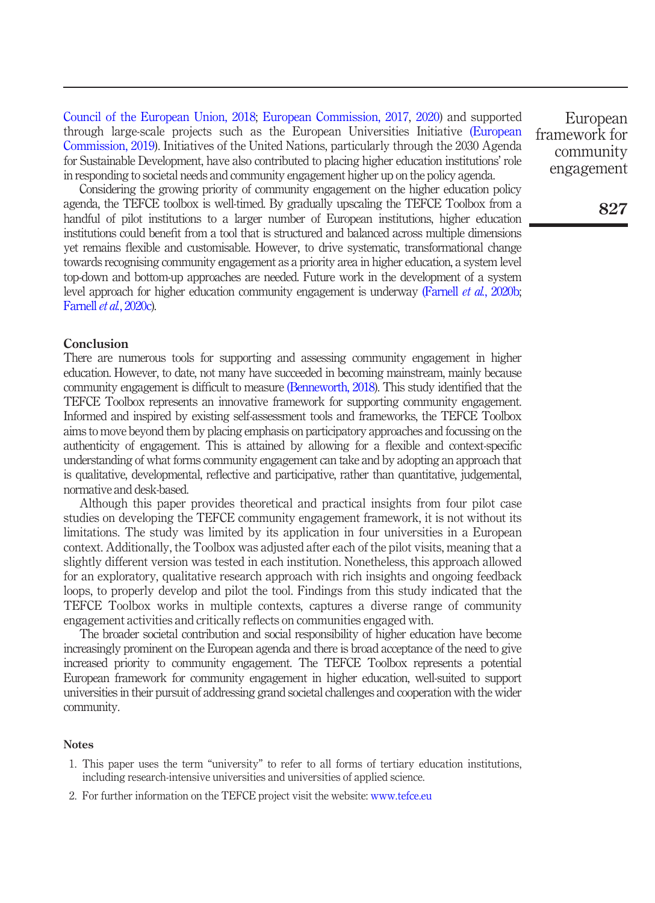[Council of the European Union, 2018;](#page-15-14) [European Commission, 2017,](#page-15-0) [2020](#page-15-15)) and supported through large-scale projects such as the European Universities Initiative [\(European](#page-15-16) [Commission, 2019](#page-15-16)). Initiatives of the United Nations, particularly through the 2030 Agenda for Sustainable Development, have also contributed to placing higher education institutions' role in responding to societal needs and community engagement higher up on the policy agenda.

Considering the growing priority of community engagement on the higher education policy agenda, the TEFCE toolbox is well-timed. By gradually upscaling the TEFCE Toolbox from a handful of pilot institutions to a larger number of European institutions, higher education institutions could benefit from a tool that is structured and balanced across multiple dimensions yet remains flexible and customisable. However, to drive systematic, transformational change towards recognising community engagement as a priority area in higher education, a system level top-down and bottom-up approaches are needed. Future work in the development of a system level approach for higher education community engagement is underway [\(Farnell](#page-16-16) et al., 2020b; [Farnell](#page-16-18) et al., 2020c).

#### Conclusion

There are numerous tools for supporting and assessing community engagement in higher education. However, to date, not many have succeeded in becoming mainstream, mainly because community engagement is difficult to measure [\(Benneworth, 2018](#page-15-3)). This study identified that the TEFCE Toolbox represents an innovative framework for supporting community engagement. Informed and inspired by existing self-assessment tools and frameworks, the TEFCE Toolbox aims to move beyond them by placing emphasis on participatory approaches and focussing on the authenticity of engagement. This is attained by allowing for a flexible and context-specific understanding of what forms community engagement can take and by adopting an approach that is qualitative, developmental, reflective and participative, rather than quantitative, judgemental, normative and desk-based.

Although this paper provides theoretical and practical insights from four pilot case studies on developing the TEFCE community engagement framework, it is not without its limitations. The study was limited by its application in four universities in a European context. Additionally, the Toolbox was adjusted after each of the pilot visits, meaning that a slightly different version was tested in each institution. Nonetheless, this approach allowed for an exploratory, qualitative research approach with rich insights and ongoing feedback loops, to properly develop and pilot the tool. Findings from this study indicated that the TEFCE Toolbox works in multiple contexts, captures a diverse range of community engagement activities and critically reflects on communities engaged with.

The broader societal contribution and social responsibility of higher education have become increasingly prominent on the European agenda and there is broad acceptance of the need to give increased priority to community engagement. The TEFCE Toolbox represents a potential European framework for community engagement in higher education, well-suited to support universities in their pursuit of addressing grand societal challenges and cooperation with the wider community.

#### **Notes**

- <span id="page-14-0"></span>1. This paper uses the term "university" to refer to all forms of tertiary education institutions, including research-intensive universities and universities of applied science.
- <span id="page-14-1"></span>2. For further information on the TEFCE project visit the website: [www.tefce.eu](http://www.tefce.eu.)

European framework for community engagement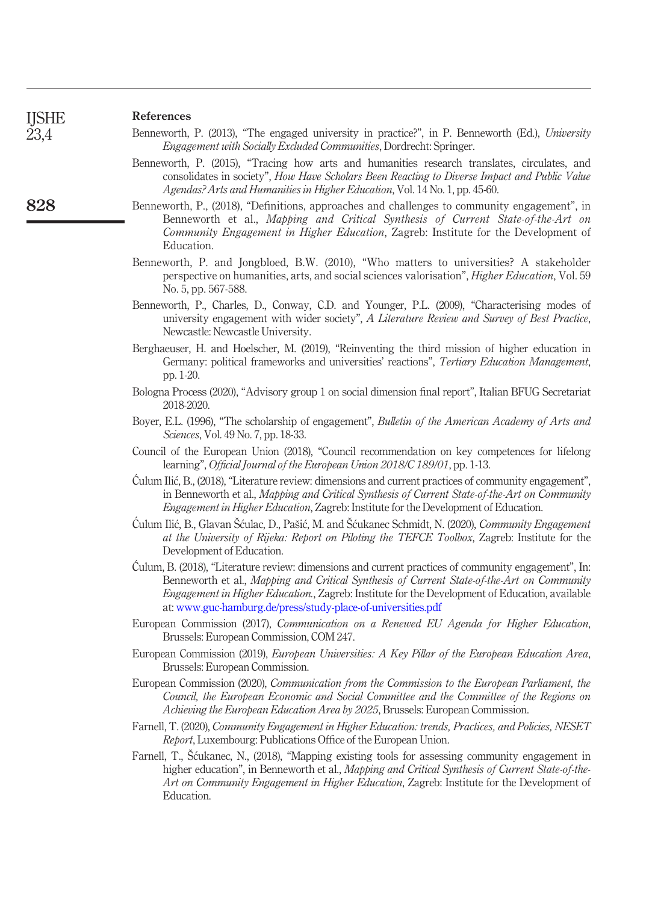828

#### References

<span id="page-15-1"></span>

| Benneworth, P. (2013), "The engaged university in practice?", in P. Benneworth (Ed.), University |  |  |                                                                            |  |  |
|--------------------------------------------------------------------------------------------------|--|--|----------------------------------------------------------------------------|--|--|
|                                                                                                  |  |  | <i>Engagement with Socially Excluded Communities, Dordrecht: Springer.</i> |  |  |

- <span id="page-15-10"></span>Benneworth, P. (2015), "Tracing how arts and humanities research translates, circulates, and consolidates in society", How Have Scholars Been Reacting to Diverse Impact and Public Value Agendas? Arts and Humanities in Higher Education, Vol. 14 No. 1, pp. 45-60.
- <span id="page-15-3"></span>Benneworth, P., (2018), "Definitions, approaches and challenges to community engagement", in Benneworth et al., Mapping and Critical Synthesis of Current State-of-the-Art on Community Engagement in Higher Education, Zagreb: Institute for the Development of Education.
- <span id="page-15-4"></span>Benneworth, P. and Jongbloed, B.W. (2010), "Who matters to universities? A stakeholder perspective on humanities, arts, and social sciences valorisation", *Higher Education*, Vol. 59 No. 5, pp. 567-588.
- <span id="page-15-8"></span>Benneworth, P., Charles, D., Conway, C.D. and Younger, P.L. (2009), "Characterising modes of university engagement with wider society", A Literature Review and Survey of Best Practice, Newcastle: Newcastle University.
- <span id="page-15-7"></span>Berghaeuser, H. and Hoelscher, M. (2019), "Reinventing the third mission of higher education in Germany: political frameworks and universities' reactions", Tertiary Education Management, pp. 1-20.
- <span id="page-15-13"></span>Bologna Process (2020), "Advisory group 1 on social dimension final report", Italian BFUG Secretariat 2018-2020.
- <span id="page-15-6"></span>Boyer, E.L. (1996), "The scholarship of engagement", Bulletin of the American Academy of Arts and Sciences, Vol. 49 No. 7, pp. 18-33.
- <span id="page-15-14"></span>Council of the European Union (2018), "Council recommendation on key competences for lifelong learning", Official Journal of the European Union 2018/C 189/01, pp. 1-13.
- <span id="page-15-5"></span> Culum Ilic, B., (2018), "Literature review: dimensions and current practices of community engagement", in Benneworth et al., Mapping and Critical Synthesis of Current State-of-the-Art on Community Engagement in Higher Education, Zagreb: Institute for the Development of Education.
- <span id="page-15-12"></span> Culum Ilic, B., Glavan Šculac, D., Pašic, M. and Šcukanec Schmidt, N. (2020), Community Engagement at the University of Rijeka: Report on Piloting the TEFCE Toolbox, Zagreb: Institute for the Development of Education.
- <span id="page-15-11"></span> Culum, B. (2018), "Literature review: dimensions and current practices of community engagement", In: Benneworth et al., Mapping and Critical Synthesis of Current State-of-the-Art on Community Engagement in Higher Education., Zagreb: Institute for the Development of Education, available at: [www.guc-hamburg.de/press/study-place-of-universities.pdf](https://www.guc-hamburg.de/press/study-place-of-universities.pdf)
- <span id="page-15-0"></span>European Commission (2017), Communication on a Renewed EU Agenda for Higher Education, Brussels: European Commission, COM 247.
- <span id="page-15-16"></span>European Commission (2019), European Universities: A Key Pillar of the European Education Area, Brussels: European Commission.
- <span id="page-15-15"></span>European Commission (2020), Communication from the Commission to the European Parliament, the Council, the European Economic and Social Committee and the Committee of the Regions on Achieving the European Education Area by 2025, Brussels: European Commission.
- <span id="page-15-9"></span>Farnell, T. (2020), Community Engagement in Higher Education: trends, Practices, and Policies, NESET Report, Luxembourg: Publications Office of the European Union.
- <span id="page-15-2"></span>Farnell, T., Šcukanec, N., (2018), "Mapping existing tools for assessing community engagement in higher education", in Benneworth et al., *Mapping and Critical Synthesis of Current State-of-the-*Art on Community Engagement in Higher Education, Zagreb: Institute for the Development of Education.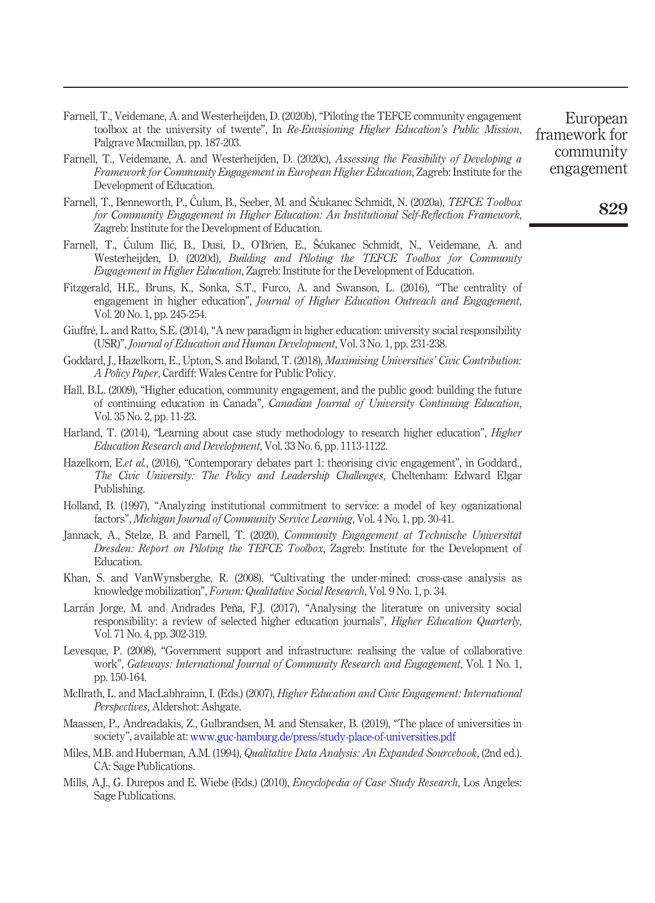- <span id="page-16-16"></span>Farnell, T., Veidemane, A. and Westerheijden, D. (2020b),"Piloting the TEFCE community engagement toolbox at the university of twente", In Re-Envisioning Higher Education's Public Mission, Palgrave Macmillan, pp. 187-203.
- <span id="page-16-18"></span>Farnell, T., Veidemane, A. and Westerheijden, D. (2020c), Assessing the Feasibility of Developing a Framework for Community Engagement in European Higher Education, Zagreb: Institute for the Development of Education.
- <span id="page-16-9"></span>Farnell, T., Benneworth, P., Ćulum, B., Seeber, M. and Šćukanec Schmidt, N. (2020a), TEFCE Toolbox for Community Engagement in Higher Education: An Institutional Self-Reflection Framework, Zagreb: Institute for the Development of Education.
- <span id="page-16-17"></span>Farnell, T., Culum Ilic, B., Dusi, D., O'Brien, E., Šcukanec Schmidt, N., Veidemane, A. and Westerheijden, D. (2020d), Building and Piloting the TEFCE Toolbox for Community Engagement in Higher Education, Zagreb: Institute for the Development of Education.
- <span id="page-16-6"></span>Fitzgerald, H.E., Bruns, K., Sonka, S.T., Furco, A. and Swanson, L. (2016), "The centrality of engagement in higher education", Journal of Higher Education Outreach and Engagement, Vol. 20 No. 1, pp. 245-254.
- <span id="page-16-3"></span>Giuffré, L. and Ratto, S.E. (2014), "A new paradigm in higher education: university social responsibility (USR)", Journal of Education and Human Development, Vol. 3 No. 1, pp. 231-238.
- <span id="page-16-1"></span>Goddard, J., Hazelkorn, E., Upton, S. and Boland, T. (2018), *Maximising Universities' Civic Contribution:* A Policy Paper, Cardiff: Wales Centre for Public Policy.
- <span id="page-16-5"></span>Hall, B.L. (2009), "Higher education, community engagement, and the public good: building the future of continuing education in Canada", Canadian Journal of University Continuing Education, Vol. 35 No. 2, pp. 11-23.
- <span id="page-16-11"></span>Harland, T. (2014), "Learning about case study methodology to research higher education", *Higher* Education Research and Development, Vol. 33 No. 6, pp. 1113-1122.
- <span id="page-16-0"></span>Hazelkorn, E.et al., (2016), "Contemporary debates part 1: theorising civic engagement", in Goddard., The Civic University: The Policy and Leadership Challenges, Cheltenham: Edward Elgar Publishing.
- <span id="page-16-10"></span>Holland, B. (1997), "Analyzing institutional commitment to service: a model of key oganizational factors", Michigan Journal of Community Service Learning, Vol. 4 No. 1, pp. 30-41.
- <span id="page-16-15"></span>Jannack, A., Stelze, B. and Farnell, T. (2020), Community Engagement at Technische Universität Dresden: Report on Piloting the TEFCE Toolbox, Zagreb: Institute for the Development of Education.
- <span id="page-16-14"></span>Khan, S. and VanWynsberghe, R. (2008), "Cultivating the under-mined: cross-case analysis as knowledge mobilization", Forum: Qualitative Social Research, Vol. 9 No. 1, p. 34.
- <span id="page-16-2"></span>Larrán Jorge, M. and Andrades Peña, F.J. (2017), "Analysing the literature on university social responsibility: a review of selected higher education journals", Higher Education Quarterly, Vol. 71 No. 4, pp. 302-319.
- <span id="page-16-7"></span>Levesque, P. (2008), "Government support and infrastructure: realising the value of collaborative work", Gateways: International Journal of Community Research and Engagement, Vol. 1 No. 1, pp. 150-164.
- <span id="page-16-4"></span>McIlrath, L. and MacLabhrainn, I. (Eds.) (2007), *Higher Education and Civic Engagement: International* Perspectives, Aldershot: Ashgate.
- <span id="page-16-8"></span>Maassen, P., Andreadakis, Z., Gulbrandsen, M. and Stensaker, B. (2019), "The place of universities in society", available at: [www.guc-hamburg.de/press/study-place-of-universities.pdf](https://www.guc-hamburg.de/press/study-place-of-universities.pdf)
- <span id="page-16-13"></span>Miles, M.B. and Huberman, A.M. (1994), *Qualitative Data Analysis: An Expanded Sourcebook*, (2nd ed.). CA: Sage Publications.
- <span id="page-16-12"></span>Mills, A.J., G. Durepos and E. Wiebe (Eds.) (2010), *Encyclopedia of Case Study Research*, Los Angeles: Sage Publications.

European framework for community engagement